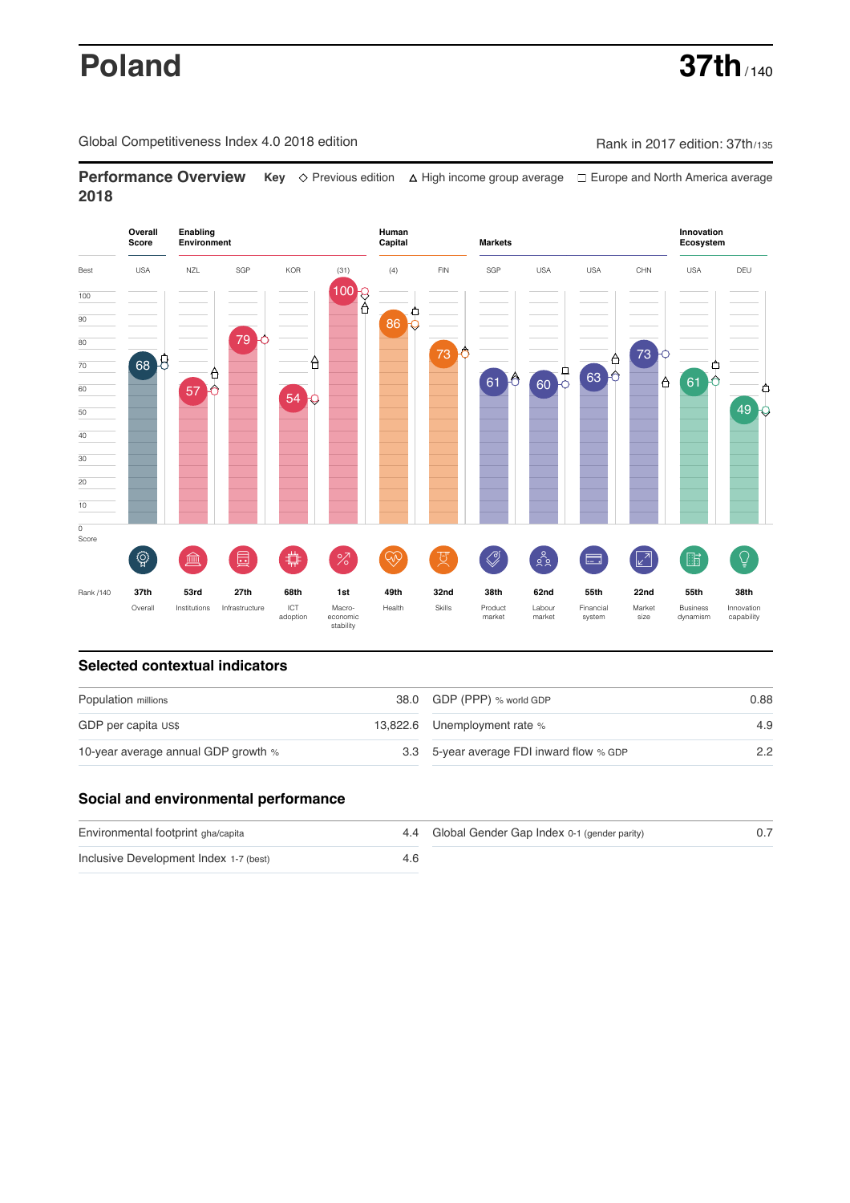# **Poland 37th**  $\frac{1}{140}$

Global Competitiveness Index 4.0 2018 edition Company Rank in 2017 edition: 37th/135

**Performance Overview** Key  $\Diamond$  Previous edition ∆ High income group average  $\Box$  Europe and North America average **2018**



## **Selected contextual indicators**

| Population millions                 | 38.0 GDP (PPP) % world GDP               | 0.88 |  |
|-------------------------------------|------------------------------------------|------|--|
| GDP per capita US\$                 | 13,822.6 Unemployment rate %             | 4.9  |  |
| 10-year average annual GDP growth % | 3.3 5-year average FDI inward flow % GDP | 2.2  |  |

## **Social and environmental performance**

| Environmental footprint gha/capita     | 4.4 Global Gender Gap Index 0-1 (gender parity) |  |
|----------------------------------------|-------------------------------------------------|--|
| Inclusive Development Index 1-7 (best) |                                                 |  |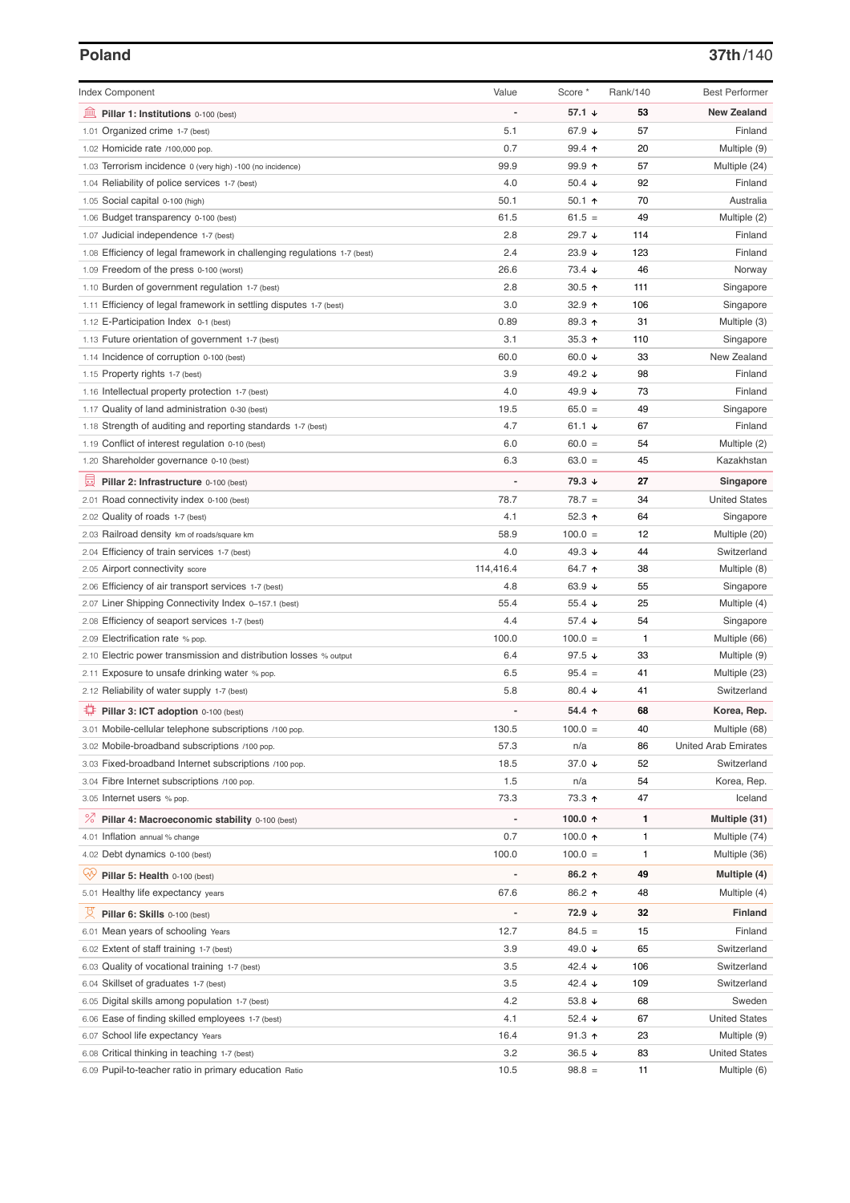## **Poland 37th**/140

| <b>Index Component</b>                                                   | Value          | Score *              | Rank/140     | <b>Best Performer</b>                |
|--------------------------------------------------------------------------|----------------|----------------------|--------------|--------------------------------------|
| Pillar 1: Institutions 0-100 (best)                                      |                | 57.1 ↓               | 53           | <b>New Zealand</b>                   |
| 1.01 Organized crime 1-7 (best)                                          | 5.1            | 67.9 ↓               | 57           | Finland                              |
| 1.02 Homicide rate /100,000 pop.                                         | 0.7            | 99.4 ↑               | 20           | Multiple (9)                         |
| 1.03 Terrorism incidence 0 (very high) -100 (no incidence)               | 99.9           | $99.9$ 1             | 57           | Multiple (24)                        |
| 1.04 Reliability of police services 1-7 (best)                           | 4.0            | 50.4 $\sqrt{ }$      | 92           | Finland                              |
| 1.05 Social capital 0-100 (high)                                         | 50.1           | 50.1 $\uparrow$      | 70           | Australia                            |
| 1.06 Budget transparency 0-100 (best)                                    | 61.5           | $61.5 =$             | 49           | Multiple (2)                         |
| 1.07 Judicial independence 1-7 (best)                                    | 2.8            | 29.7 ↓               | 114          | Finland                              |
| 1.08 Efficiency of legal framework in challenging regulations 1-7 (best) | 2.4            | 23.9 $\sqrt{ }$      | 123          | Finland                              |
| 1.09 Freedom of the press 0-100 (worst)                                  | 26.6           | $73.4 \; \downarrow$ | 46           | Norway                               |
| 1.10 Burden of government regulation 1-7 (best)                          | 2.8            | $30.5$ 1             | 111          | Singapore                            |
| 1.11 Efficiency of legal framework in settling disputes 1-7 (best)       | 3.0            | 32.9 $\uparrow$      | 106          | Singapore                            |
| 1.12 E-Participation Index 0-1 (best)                                    | 0.89           | 89.3 ↑               | 31           | Multiple (3)                         |
| 1.13 Future orientation of government 1-7 (best)                         | 3.1            | 35.3 $\uparrow$      | 110          | Singapore                            |
| 1.14 Incidence of corruption 0-100 (best)                                | 60.0           | 60.0 $\sqrt{ }$      | 33           | New Zealand                          |
| 1.15 Property rights 1-7 (best)                                          | 3.9            | 49.2 ↓               | 98           | Finland                              |
| 1.16 Intellectual property protection 1-7 (best)                         | 4.0            | 49.9 ↓               | 73           | Finland                              |
| 1.17 Quality of land administration 0-30 (best)                          | 19.5           | $65.0 =$             | 49           | Singapore                            |
| 1.18 Strength of auditing and reporting standards 1-7 (best)             | 4.7            | 61.1 $\sqrt{ }$      | 67           | Finland                              |
| 1.19 Conflict of interest regulation 0-10 (best)                         | 6.0            | $60.0 =$             | 54           | Multiple (2)                         |
| 1.20 Shareholder governance 0-10 (best)                                  | 6.3            | $63.0 =$             | 45           | Kazakhstan                           |
| 曼<br>Pillar 2: Infrastructure 0-100 (best)                               |                | 79.3 ↓               | 27           | Singapore                            |
| 2.01 Road connectivity index 0-100 (best)                                | 78.7           | $78.7 =$             | 34           | <b>United States</b>                 |
| 2.02 Quality of roads 1-7 (best)                                         | 4.1            | 52.3 $\uparrow$      | 64           | Singapore                            |
| 2.03 Railroad density km of roads/square km                              | 58.9           | $100.0 =$            | 12           | Multiple (20)                        |
| 2.04 Efficiency of train services 1-7 (best)                             | 4.0            | 49.3 $\sqrt{ }$      | 44           | Switzerland                          |
|                                                                          | 114,416.4      | 64.7 ተ               | 38           | Multiple (8)                         |
| 2.05 Airport connectivity score                                          | 4.8            | 63.9 $\sqrt{ }$      | 55           |                                      |
| 2.06 Efficiency of air transport services 1-7 (best)                     | 55.4           | 55.4 $\sqrt{ }$      | 25           | Singapore                            |
| 2.07 Liner Shipping Connectivity Index 0-157.1 (best)                    |                |                      |              | Multiple (4)                         |
| 2.08 Efficiency of seaport services 1-7 (best)                           | 4.4            | 57.4 $\sqrt{ }$      | 54           | Singapore                            |
| 2.09 Electrification rate % pop.                                         | 100.0          | $100.0 =$            | $\mathbf{1}$ | Multiple (66)                        |
| 2.10 Electric power transmission and distribution losses % output        | 6.4            | 97.5 $\sqrt{ }$      | 33           | Multiple (9)                         |
| 2.11 Exposure to unsafe drinking water % pop.                            | 6.5            | $95.4 =$             | 41           | Multiple (23)                        |
| 2.12 Reliability of water supply 1-7 (best)                              | 5.8            | 80.4 $\sqrt{ }$      | 41           | Switzerland                          |
| ₽<br>Pillar 3: ICT adoption 0-100 (best)                                 |                | $54.4$ ↑             | 68           | Korea, Rep.                          |
| 3.01 Mobile-cellular telephone subscriptions /100 pop.                   | 130.5          | $100.0 =$            | 40           | Multiple (68)                        |
| 3.02 Mobile-broadband subscriptions /100 pop.                            | 57.3           | n/a                  | 86           | <b>United Arab Emirates</b>          |
| 3.03 Fixed-broadband Internet subscriptions /100 pop.                    | 18.5           | 37.0 ↓               | 52           | Switzerland                          |
| 3.04 Fibre Internet subscriptions /100 pop.                              | 1.5            | n/a                  | 54           | Korea, Rep.                          |
| 3.05 Internet users % pop.                                               | 73.3           | 73.3 ↑               | 47           | Iceland                              |
| <sup>%</sup> Pillar 4: Macroeconomic stability 0-100 (best)              | $\overline{a}$ | 100.0 $\uparrow$     | 1            | Multiple (31)                        |
| 4.01 Inflation annual % change                                           | 0.7            | 100.0 ↑              | 1            | Multiple (74)                        |
| 4.02 Debt dynamics 0-100 (best)                                          | 100.0          | $100.0 =$            | 1            | Multiple (36)                        |
| ųÿ<br>Pillar 5: Health 0-100 (best)                                      |                | 86.2 ↑               | 49           | Multiple (4)                         |
| 5.01 Healthy life expectancy years                                       | 67.6           | 86.2 ↑               | 48           | Multiple (4)                         |
| 섯<br>Pillar 6: Skills 0-100 (best)                                       |                | 72.9 ↓               | 32           | <b>Finland</b>                       |
| 6.01 Mean years of schooling Years                                       | 12.7           | $84.5 =$             | 15           | Finland                              |
| 6.02 Extent of staff training 1-7 (best)                                 | 3.9            | 49.0 ↓               | 65           | Switzerland                          |
|                                                                          | 3.5            | 42.4 $\sqrt{ }$      | 106          | Switzerland                          |
| 6.03 Quality of vocational training 1-7 (best)                           | 3.5            | 42.4 $\sqrt{ }$      | 109          | Switzerland                          |
| 6.04 Skillset of graduates 1-7 (best)                                    | 4.2            | 53.8 $\sqrt{ }$      | 68           | Sweden                               |
| 6.05 Digital skills among population 1-7 (best)                          |                |                      |              | <b>United States</b>                 |
| 6.06 Ease of finding skilled employees 1-7 (best)                        | 4.1            | 52.4 $\sqrt{ }$      | 67           |                                      |
| 6.07 School life expectancy Years                                        | 16.4<br>3.2    | $91.3$ ↑<br>$36.5 +$ | 23<br>83     | Multiple (9)<br><b>United States</b> |
| 6.08 Critical thinking in teaching 1-7 (best)                            |                |                      |              |                                      |
| 6.09 Pupil-to-teacher ratio in primary education Ratio                   | 10.5           | $98.8 =$             | 11           | Multiple (6)                         |